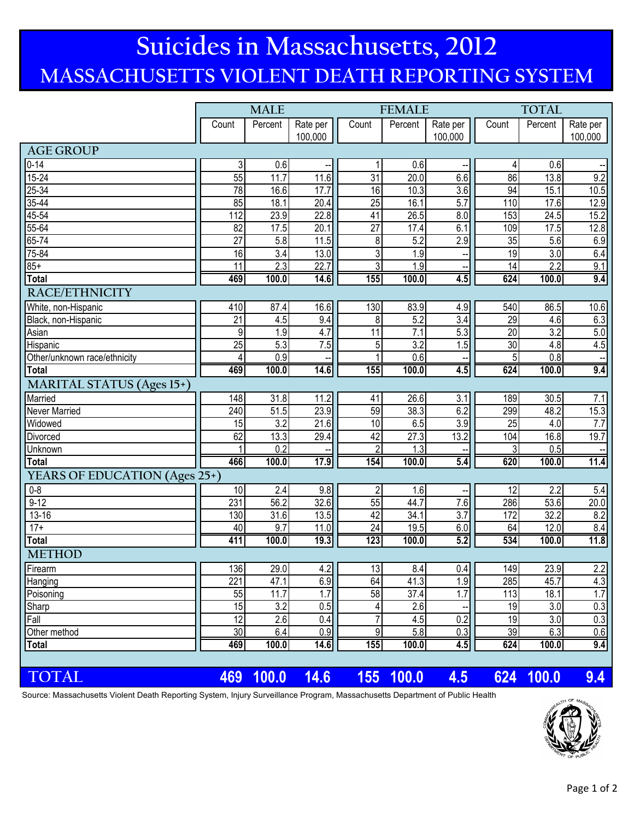## **MASSACHUSETTS VIOLENT DEATH REPORTING SYSTEM Suicides in Massachusetts, 2012**

|                                  | <b>MALE</b>     |                  |                     |                 | <b>FEMALE</b>    |                     | <b>TOTAL</b>    |                  |                                      |
|----------------------------------|-----------------|------------------|---------------------|-----------------|------------------|---------------------|-----------------|------------------|--------------------------------------|
|                                  | Count           | Percent          | Rate per<br>100,000 | Count           | Percent          | Rate per<br>100,000 | Count           | Percent          | Rate per<br>100,000                  |
| <b>AGE GROUP</b>                 |                 |                  |                     |                 |                  |                     |                 |                  |                                      |
| $0 - 14$                         | 3               | 0.6              |                     | 1               | 0.6              |                     | 4               | 0.6              |                                      |
| $15 - 24$                        | 55              | 11.7             | 11.6                | 31              | 20.0             | 6.6                 | 86              | 13.8             | 9.2                                  |
| $25 - 34$                        | $\overline{78}$ | 16.6             | 17.7                | 16              | 10.3             | $\overline{3.6}$    | 94              | 15.1             | 10.5                                 |
| $35 - 44$                        | 85              | 18.1             | 20.4                | 25              | 16.1             | 5.7                 | 110             | 17.6             | 12.9                                 |
| 45-54                            | 112             | 23.9             | 22.8                | 41              | 26.5             | $\overline{8.0}$    | 153             | 24.5             | 15.2                                 |
| $55 - 64$                        | 82              | 17.5             | 20.1                | $\overline{27}$ | 17.4             | 6.1                 | 109             | 17.5             | 12.8                                 |
| $65 - 74$                        | $\overline{27}$ | 5.8              | 11.5                | 8               | 5.2              | 2.9                 | 35              | 5.6              | 6.9                                  |
| 75-84                            | 16              | $\overline{3.4}$ | 13.0                | 3               | 1.9              |                     | 19              | 3.0              | 6.4                                  |
| $85+$                            | $\overline{11}$ | 2.3              | 22.7                | 3               | $\overline{1.9}$ |                     | $\overline{14}$ | 2.2              | 9.1                                  |
| <b>Total</b>                     | 469             | 100.0            | 14.6                | 155             | 100.0            | 4.5                 | 624             | 100.0            | 9.4                                  |
| <b>RACE/ETHNICITY</b>            |                 |                  |                     |                 |                  |                     |                 |                  |                                      |
| White, non-Hispanic              | 410             | 87.4             | 16.6                | 130             | 83.9             | 4.9                 | 540             | 86.5             | 10.6                                 |
| Black, non-Hispanic              | $\overline{21}$ | 4.5              | 9.4                 | 8               | 5.2              | 3.4                 | 29              | 4.6              | 6.3                                  |
| Asian                            | 9               | 1.9              | 4.7                 | 11              | 7.1              | 5.3                 | $\overline{20}$ | 3.2              | $5.0$                                |
| Hispanic                         | $\overline{25}$ | 5.3              | $\overline{7.5}$    | 5               | $\overline{3.2}$ | 1.5                 | 30              | 4.8              | 4.5                                  |
| Other/unknown race/ethnicity     | $\overline{4}$  | 0.9              |                     |                 | 0.6              |                     | 5               | 0.8              |                                      |
| <b>Total</b>                     | 469             | 100.0            | 14.6                | 155             | 100.0            | 4.5                 | 624             | 100.0            | 9.4                                  |
| <b>MARITAL STATUS (Ages 15+)</b> |                 |                  |                     |                 |                  |                     |                 |                  |                                      |
| Married                          | 148             | 31.8             | 11.2                | 41              | 26.6             | 3.1                 | 189             | 30.5             | 7.1                                  |
| Never Married                    | 240             | 51.5             | 23.9                | 59              | 38.3             | 6.2                 | 299             | 48.2             | 15.3                                 |
| Widowed                          | $\overline{15}$ | $\overline{3.2}$ | 21.6                | 10              | 6.5              | 3.9                 | $\overline{25}$ | 4.0              | 7.7                                  |
| Divorced                         | 62              | 13.3             | 29.4                | 42              | 27.3             | 13.2                | 104             | 16.8             | 19.7                                 |
| Unknown                          |                 | 0.2              |                     | $\overline{2}$  | 1.3              |                     | 3               | 0.5              |                                      |
| <b>Total</b>                     | 466             | 100.0            | 17.9                | 154             | 100.0            | 5.4                 | 620             | 100.0            | 11.4                                 |
| YEARS OF EDUCATION (Ages 25+)    |                 |                  |                     |                 |                  |                     |                 |                  |                                      |
| $0 - 8$                          | 10              | 2.4              | 9.8                 | 2               | 1.6              |                     | 12              | $\overline{2.2}$ | 5.4                                  |
| $9-12$                           | 231             | 56.2             | 32.6                | $\overline{55}$ | 44.7             | 7.6                 | 286             | 53.6             | 20.0                                 |
| $13 - 16$                        | 130             | 31.6             | 13.5                | 42              | 34.1             | 3.7                 | 172             | 32.2             | 8.2                                  |
| $17+$                            | 40              | 9.7              | 11.0                | $\overline{24}$ | 19.5             | 6.0                 | 64              | 12.0             | 8.4                                  |
| <b>Total</b>                     | 411             | 100.0            | 19.3                | 123             | 100.0            | 5.2                 | 534             | 100.0            | 11.8                                 |
| <b>METHOD</b>                    |                 |                  |                     |                 |                  |                     |                 |                  |                                      |
| Firearm                          | 136             | 29.0             | 4.2                 | 13              | 8.4              | 0.4                 | 149             | 23.9             | 2.2                                  |
| Hanging                          | 221             | 47.1             | 6.9                 | 64              | 41.3             | 1.9                 | 285             | 45.7             | 4.3                                  |
| Poisoning                        | 55              | 11.7             | 1.7                 | 58              | 37.4             | 1.7                 | 113             | 18.1             | $\overline{1.7}$                     |
| Sharp                            | 15<br>12        | $\overline{3.2}$ | 0.5<br>0.4          | $\overline{7}$  | 2.6              | 0.2                 | 19<br>19        | 3.0<br>3.0       | $\overline{0.3}$<br>$\overline{0.3}$ |
| Fall<br>Other method             | 30              | 2.6<br>6.4       | 0.9                 | 9               | 4.5<br>5.8       | 0.3                 | 39              | 6.3              | 0.6                                  |
| <b>Total</b>                     | 469             | 100.0            | 14.6                | 155             | 100.0            | 4.5                 | 624             | 100.0            | 9.4                                  |
|                                  |                 |                  |                     |                 |                  |                     |                 |                  |                                      |
| TOTAL                            | 469             | 100.0            | 14.6                | 155             | 100.0            | 4.5                 | 624             | 100.0            | 9.4                                  |

Source: Massachusetts Violent Death Reporting System, Injury Surveillance Program, Massachusetts Department of Public Health